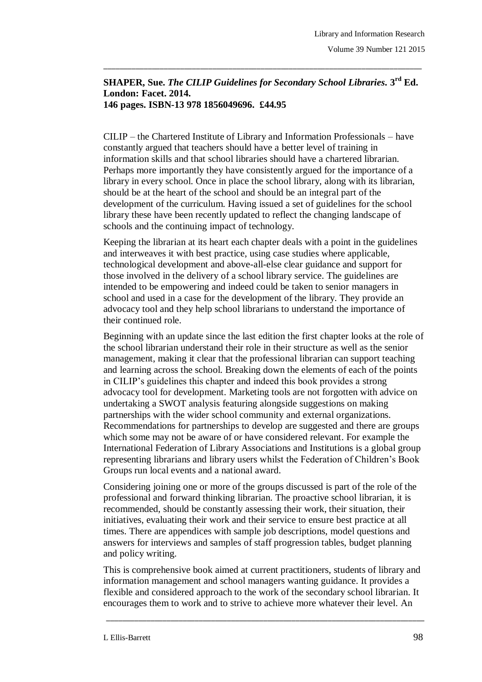## **SHAPER, Sue.** *The CILIP Guidelines for Secondary School Libraries.* **3 rd Ed. London: Facet. 2014. 146 pages. ISBN-13 978 1856049696. £44.95**

\_\_\_\_\_\_\_\_\_\_\_\_\_\_\_\_\_\_\_\_\_\_\_\_\_\_\_\_\_\_\_\_\_\_\_\_\_\_\_\_\_\_\_\_\_\_\_\_\_\_\_\_\_\_\_\_\_\_\_\_\_\_\_\_\_\_\_\_\_\_\_\_\_\_\_\_\_\_\_

CILIP – the Chartered Institute of Library and Information Professionals – have constantly argued that teachers should have a better level of training in information skills and that school libraries should have a chartered librarian. Perhaps more importantly they have consistently argued for the importance of a library in every school. Once in place the school library, along with its librarian, should be at the heart of the school and should be an integral part of the development of the curriculum. Having issued a set of guidelines for the school library these have been recently updated to reflect the changing landscape of schools and the continuing impact of technology.

Keeping the librarian at its heart each chapter deals with a point in the guidelines and interweaves it with best practice, using case studies where applicable, technological development and above-all-else clear guidance and support for those involved in the delivery of a school library service. The guidelines are intended to be empowering and indeed could be taken to senior managers in school and used in a case for the development of the library. They provide an advocacy tool and they help school librarians to understand the importance of their continued role.

Beginning with an update since the last edition the first chapter looks at the role of the school librarian understand their role in their structure as well as the senior management, making it clear that the professional librarian can support teaching and learning across the school. Breaking down the elements of each of the points in CILIP's guidelines this chapter and indeed this book provides a strong advocacy tool for development. Marketing tools are not forgotten with advice on undertaking a SWOT analysis featuring alongside suggestions on making partnerships with the wider school community and external organizations. Recommendations for partnerships to develop are suggested and there are groups which some may not be aware of or have considered relevant. For example the International Federation of Library Associations and Institutions is a global group representing librarians and library users whilst the Federation of Children's Book Groups run local events and a national award.

Considering joining one or more of the groups discussed is part of the role of the professional and forward thinking librarian. The proactive school librarian, it is recommended, should be constantly assessing their work, their situation, their initiatives, evaluating their work and their service to ensure best practice at all times. There are appendices with sample job descriptions, model questions and answers for interviews and samples of staff progression tables, budget planning and policy writing.

This is comprehensive book aimed at current practitioners, students of library and information management and school managers wanting guidance. It provides a flexible and considered approach to the work of the secondary school librarian. It encourages them to work and to strive to achieve more whatever their level. An

\_\_\_\_\_\_\_\_\_\_\_\_\_\_\_\_\_\_\_\_\_\_\_\_\_\_\_\_\_\_\_\_\_\_\_\_\_\_\_\_\_\_\_\_\_\_\_\_\_\_\_\_\_\_\_\_\_\_\_\_\_\_\_\_\_\_\_\_\_\_\_\_\_\_\_\_\_\_\_